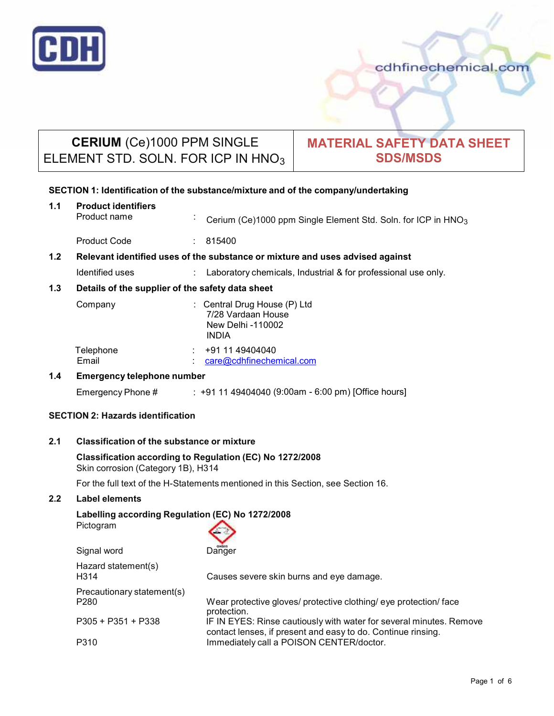

# **CERIUM** (Ce)1000 PPM SINGLE ELEMENT STD. SOLN. FOR ICP IN HNO<sub>3</sub>

## **MATERIAL SAFETY DATA SHEET SDS/MSDS**

## **SECTION 1: Identification of the substance/mixture and of the company/undertaking**

**1.1 Product identifiers** Cerium (Ce)1000 ppm Single Element Std. Soln. for ICP in HNO<sub>3</sub>

Product Code : 815400

## **1.2 Relevant identified uses of the substance ormixture and uses advised against**

Identified uses : Laboratory chemicals, Industrial & for professional use only.

## **1.3 Details of the supplier of the safety data sheet**

| Company            | : Central Drug House $(P)$ Ltd<br>7/28 Vardaan House<br>New Delhi -110002<br><b>INDIA</b> |
|--------------------|-------------------------------------------------------------------------------------------|
| Telephone<br>Email | +91 11 49404040<br>care@cdhfinechemical.com                                               |

## **1.4 Emergency telephone number**

Emergency Phone # : +91 11 49404040 (9:00am - 6:00 pm) [Office hours]

## **SECTION 2: Hazards identification**

## **2.1 Classification of the substance ormixture**

#### **Classification according to Regulation (EC) No 1272/2008** Skin corrosion (Category 1B), H314

For the full text of the H-Statements mentioned in this Section, see Section 16.

## **2.2 Label elements**

## **Labelling according Regulation (EC) No 1272/2008**

| Causes severe skin burns and eye damage.                                                                                            |
|-------------------------------------------------------------------------------------------------------------------------------------|
| Wear protective gloves/ protective clothing/ eye protection/ face                                                                   |
| IF IN EYES: Rinse cautiously with water for several minutes. Remove<br>contact lenses, if present and easy to do. Continue rinsing. |
| Immediately call a POISON CENTER/doctor.                                                                                            |
|                                                                                                                                     |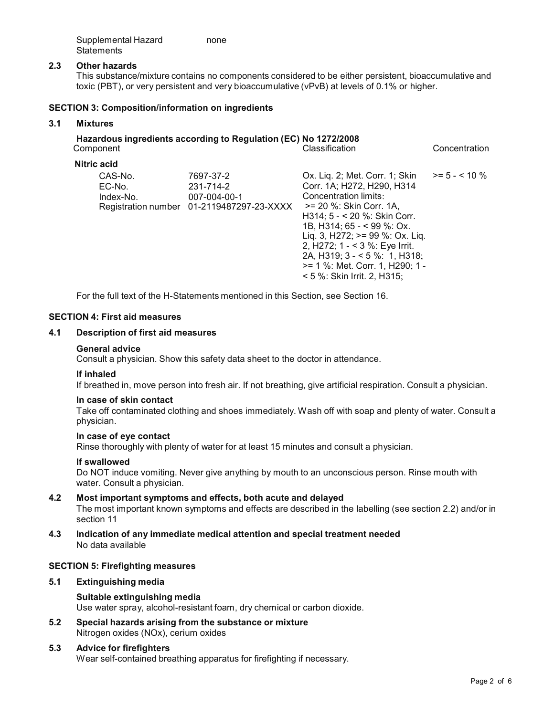| Supplemental Hazard | none |
|---------------------|------|
| Statements          |      |

#### **2.3 Other hazards**

This substance/mixture contains no components considered to be either persistent, bioaccumulative and toxic (PBT), or very persistent and very bioaccumulative (vPvB) at levels of 0.1% or higher.

#### **SECTION 3: Composition/information on ingredients**

#### **3.1 Mixtures**

# **Hazardous ingredients according to Regulation (EC) No 1272/2008**

Component Classification Concentration **Nitric acid** CAS-No. 7697-37-2 EC-No. 231-714-2 Index-No. 007-004-00-1 Registration number 01-2119487297-23-XXXX >= 20 %: Skin Corr. 1A, Ox. Liq. 2; Met. Corr. 1; Skin Corr. 1A; H272, H290, H314 Concentration limits: H314; 5 - < 20 %: Skin Corr. 1B, H314; 65 - < 99 %: Ox. Liq. 3, H272; >= 99 %: Ox. Liq. 2, H272; <sup>1</sup> - < 3 %: Eye Irrit.2A, H319; <sup>3</sup> - <sup>&</sup>lt; <sup>5</sup> %: 1, H318; >= 1 %: Met. Corr. 1, H290; 1 - < 5 %:Skin Irrit. 2, H315;  $>= 5 - < 10 \%$ 

For the full text of the H-Statements mentioned in this Section, see Section 16.

#### **SECTION 4: First aid measures**

## **4.1 Description of first aid measures**

#### **General advice**

Consult a physician. Show this safety data sheet to the doctor in attendance.

#### **If inhaled**

If breathed in, move person into fresh air. If not breathing, give artificial respiration. Consult a physician.

#### **In case of skin contact**

Take off contaminated clothing and shoes immediately. Wash off with soap and plenty of water. Consult a physician.

#### **In case of eye contact**

Rinse thoroughly with plenty of water for at least 15 minutes and consult a physician.

## **If swallowed**

Do NOT induce vomiting. Never give anything by mouth to an unconscious person. Rinse mouth with water. Consult a physician.

#### **4.2 Most important symptoms and effects, both acute and delayed** The most important known symptoms and effects are described in the labelling (see section 2.2) and/or in section 11

**4.3 Indication of any immediate medical attention and special treatment needed** No data available

#### **SECTION 5: Firefighting measures**

## **5.1 Extinguishing media**

## **Suitable extinguishing media**

Use water spray, alcohol-resistant foam, dry chemical or carbon dioxide.

**5.2 Special hazards arising from the substance ormixture** Nitrogen oxides (NOx), cerium oxides

#### **5.3 Advice for firefighters**

Wear self-contained breathing apparatus for firefighting if necessary.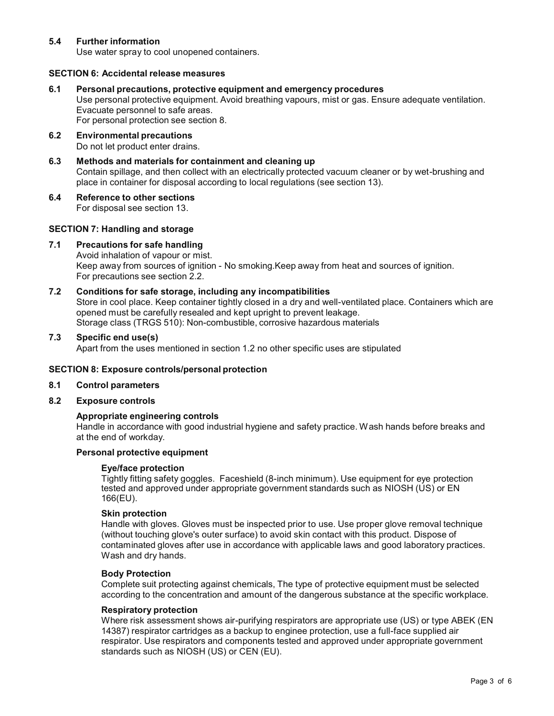## **5.4 Further information**

Use water spray to cool unopened containers.

#### **SECTION 6: Accidental release measures**

**6.1 Personal precautions, protective equipment and emergency procedures**

Use personal protective equipment. Avoid breathing vapours, mist or gas. Ensure adequate ventilation. Evacuate personnel to safe areas.

For personal protection see section 8.

- **6.2 Environmental precautions** Do not let product enter drains.
- **6.3 Methods and materials for containment and cleaning up** Contain spillage, and then collect with an electrically protected vacuum cleaner or by wet-brushing and place in container for disposal according to local regulations (see section 13).

#### **6.4 Reference to other sections**

For disposal see section 13.

#### **SECTION 7: Handling and storage**

#### **7.1 Precautions for safe handling**

Avoid inhalation of vapour or mist. Keep away from sources of ignition - No smoking.Keep away from heat and sources of ignition. For precautions see section 2.2.

## **7.2 Conditions for safe storage, including any incompatibilities**

Store in cool place. Keep container tightly closed in a dry and well-ventilated place. Containers which are opened must be carefully resealed and kept upright to prevent leakage. Storage class (TRGS 510): Non-combustible, corrosive hazardous materials

#### **7.3 Specific end use(s)**

Apart from the uses mentioned in section 1.2 no other specific uses are stipulated

## **SECTION 8: Exposure controls/personal protection**

#### **8.1 Control parameters**

**8.2 Exposure controls**

## **Appropriate engineering controls**

Handle in accordance with good industrial hygiene and safety practice. Wash hands before breaks and at the end of workday.

## **Personal protective equipment**

#### **Eye/face protection**

Tightly fitting safety goggles. Faceshield (8-inch minimum). Use equipment for eye protection tested and approved under appropriate government standards such as NIOSH (US) or EN 166(EU).

## **Skin protection**

Handle with gloves. Gloves must be inspected prior to use. Use proper glove removal technique (without touching glove's outer surface) to avoid skin contact with this product. Dispose of contaminated gloves after use in accordance with applicable laws and good laboratory practices. Wash and dry hands.

#### **Body Protection**

Complete suit protecting against chemicals, The type of protective equipment must be selected according to the concentration and amount of the dangerous substance at the specific workplace.

#### **Respiratory protection**

Where risk assessment shows air-purifying respirators are appropriate use (US) or type ABEK (EN 14387) respirator cartridges as a backup to enginee protection, use a full-face supplied air respirator. Use respirators and components tested and approved under appropriate government standards such as NIOSH (US) or CEN (EU).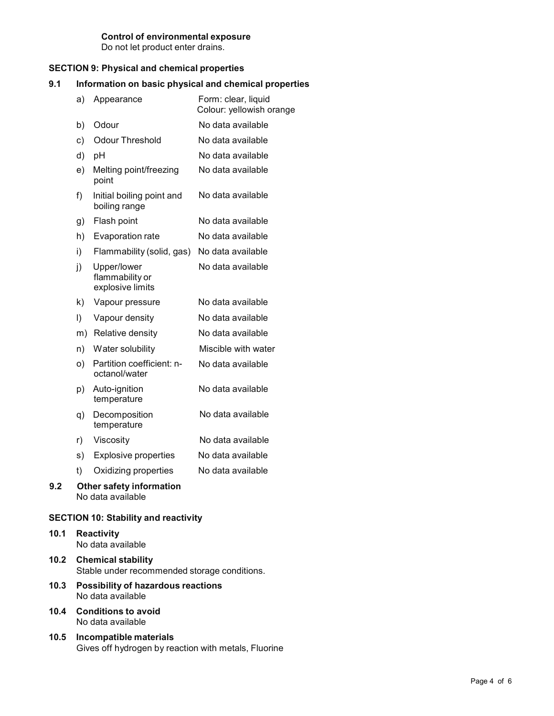#### **Control of environmental exposure** Do not let product enter drains.

## **SECTION 9: Physical and chemical properties**

## **9.1 Information on basic physical and chemical properties**

|     | a)      | Appearance                                           | Form: clear, liquid<br>Colour: yellowish orange |
|-----|---------|------------------------------------------------------|-------------------------------------------------|
|     | b)      | Odour                                                | No data available                               |
|     | c)      | <b>Odour Threshold</b>                               | No data available                               |
|     | d)      | pH                                                   | No data available                               |
|     | e)      | Melting point/freezing<br>point                      | No data available                               |
|     | f)      | Initial boiling point and<br>boiling range           | No data available                               |
|     | g)      | Flash point                                          | No data available                               |
|     | h)      | Evaporation rate                                     | No data available                               |
|     | i)      | Flammability (solid, gas)                            | No data available                               |
|     | j)      | Upper/lower<br>flammability or<br>explosive limits   | No data available                               |
|     | k)      | Vapour pressure                                      | No data available                               |
|     | $\vert$ | Vapour density                                       | No data available                               |
|     |         | m) Relative density                                  | No data available                               |
|     | n)      | Water solubility                                     | Miscible with water                             |
|     | O)      | Partition coefficient: n-<br>octanol/water           | No data available                               |
|     | p)      | Auto-ignition<br>temperature                         | No data available                               |
|     | q)      | Decomposition<br>temperature                         | No data available                               |
|     | r)      | Viscosity                                            | No data available                               |
|     | s)      | <b>Explosive properties</b>                          | No data available                               |
|     | t)      | Oxidizing properties                                 | No data available                               |
| 9.2 |         | <b>Other safety information</b><br>No data available |                                                 |

## **SECTION 10: Stability and reactivity**

- **10.1 Reactivity** No data available
- **10.2 Chemical stability** Stable under recommended storage conditions.
- **10.3 Possibility of hazardous reactions** No data available
- **10.4 Conditions to avoid** No data available
- **10.5 Incompatible materials** Gives off hydrogen by reaction with metals, Fluorine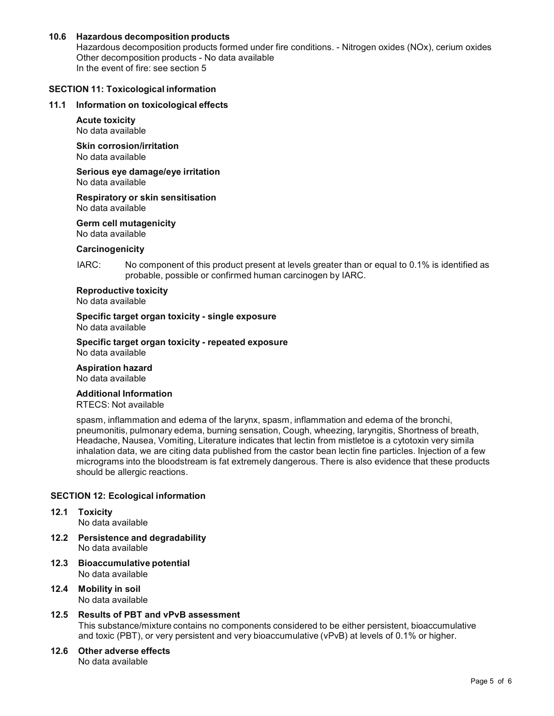## **10.6 Hazardous decomposition products**

Hazardous decomposition products formed under fire conditions. - Nitrogen oxides (NOx), cerium oxides Other decomposition products - No data available In the event of fire: see section 5

#### **SECTION 11: Toxicological information**

#### **11.1 Information on toxicological effects**

**Acute toxicity** No data available

**Skin corrosion/irritation** No data available

**Serious eye damage/eye irritation** No data available

**Respiratory orskin sensitisation** No data available

**Germ cell mutagenicity**

No data available

## **Carcinogenicity**

IARC: No component of this product present at levels greater than or equal to 0.1% is identified as probable, possible or confirmed human carcinogen by IARC.

## **Reproductive toxicity**

No data available

**Specific target organ toxicity - single exposure** No data available

**Specific target organ toxicity - repeated exposure**

No data available

**Aspiration hazard**

No data available

## **Additional Information**

RTECS: Not available

spasm, inflammation and edema of the larynx, spasm, inflammation and edema of the bronchi, pneumonitis, pulmonary edema, burning sensation, Cough, wheezing, laryngitis, Shortness of breath, Headache, Nausea, Vomiting, Literature indicates that lectin from mistletoe is a cytotoxin very simila inhalation data, we are citing data published from the castor bean lectin fine particles. Injection of a few micrograms into the bloodstream is fat extremely dangerous. There is also evidence that these products should be allergic reactions.

#### **SECTION 12: Ecological information**

- **12.1 Toxicity** No data available
- **12.2 Persistence and degradability** No data available
- **12.3 Bioaccumulative potential** No data available
- **12.4 Mobility in soil** No data available

# **12.5 Results of PBT and vPvB assessment**

This substance/mixture contains no components considered to be either persistent, bioaccumulative and toxic (PBT), or very persistent and very bioaccumulative (vPvB) at levels of 0.1% or higher.

**12.6 Other adverse effects** No data available